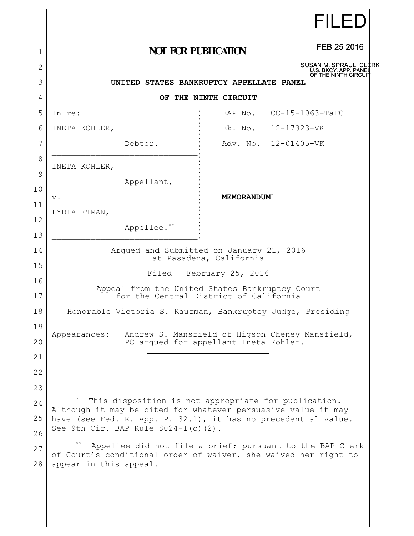|          |                                                                                                                                                                        |                                | <b>FILED</b>                                    |  |
|----------|------------------------------------------------------------------------------------------------------------------------------------------------------------------------|--------------------------------|-------------------------------------------------|--|
| 1        | <b>NOT FOR PUBLICATION</b>                                                                                                                                             |                                | FEB 25 2016                                     |  |
| 2        |                                                                                                                                                                        |                                | SUSAN M. SPRAUL, CLERK<br>U.S. BKCY. APP. PANEI |  |
| 3        | OF THE NINTH CIRCUIT<br>UNITED STATES BANKRUPTCY APPELLATE PANEL                                                                                                       |                                |                                                 |  |
| 4        |                                                                                                                                                                        | OF THE NINTH CIRCUIT           |                                                 |  |
| 5        | In re:                                                                                                                                                                 |                                | BAP No. CC-15-1063-TaFC                         |  |
| 6        | INETA KOHLER,                                                                                                                                                          |                                | Bk. No. 12-17323-VK                             |  |
| 7        | Debtor.                                                                                                                                                                |                                | Adv. No. 12-01405-VK                            |  |
| 8        | INETA KOHLER,                                                                                                                                                          |                                |                                                 |  |
| 9        | Appellant,                                                                                                                                                             |                                |                                                 |  |
| 10       | $\mathbf v$ .                                                                                                                                                          | <b>MEMORANDUM</b> <sup>*</sup> |                                                 |  |
| 11       | LYDIA ETMAN,                                                                                                                                                           |                                |                                                 |  |
| 12       | Appellee. <sup>**</sup>                                                                                                                                                |                                |                                                 |  |
| 13       |                                                                                                                                                                        |                                |                                                 |  |
| 14       | Argued and Submitted on January 21, 2016<br>at Pasadena, California                                                                                                    |                                |                                                 |  |
| 15       | Filed - February 25, 2016                                                                                                                                              |                                |                                                 |  |
| 16<br>17 | Appeal from the United States Bankruptcy Court<br>for the Central District of California                                                                               |                                |                                                 |  |
| 18       | Honorable Victoria S. Kaufman, Bankruptcy Judge, Presiding                                                                                                             |                                |                                                 |  |
| 19       |                                                                                                                                                                        |                                |                                                 |  |
| 20       | Appearances:<br>PC argued for appellant Ineta Kohler.                                                                                                                  |                                | Andrew S. Mansfield of Higson Cheney Mansfield, |  |
| 21       |                                                                                                                                                                        |                                |                                                 |  |
| 22       |                                                                                                                                                                        |                                |                                                 |  |
| 23       |                                                                                                                                                                        |                                |                                                 |  |
| 24       | This disposition is not appropriate for publication.                                                                                                                   |                                |                                                 |  |
| 25       | Although it may be cited for whatever persuasive value it may<br>have (see Fed. R. App. P. 32.1), it has no precedential value.<br>See 9th Cir. BAP Rule 8024-1(c)(2). |                                |                                                 |  |
| 26       |                                                                                                                                                                        |                                |                                                 |  |
| 27       | Appellee did not file a brief; pursuant to the BAP Clerk<br>of Court's conditional order of waiver, she waived her right to                                            |                                |                                                 |  |
| 28       | appear in this appeal.                                                                                                                                                 |                                |                                                 |  |
|          |                                                                                                                                                                        |                                |                                                 |  |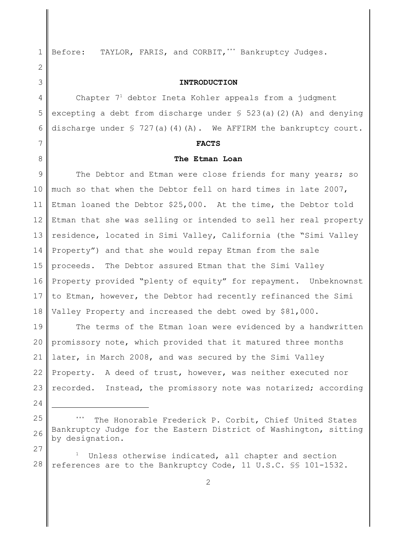24

27

1

Before: TAYLOR, FARIS, and CORBIT,\*\*\* Bankruptcy Judges.

## **INTRODUCTION**

Chapter  $7<sup>1</sup>$  debtor Ineta Kohler appeals from a judgment excepting a debt from discharge under § 523(a)(2)(A) and denying discharge under  $\frac{1}{2}$  727(a)(4)(A). We AFFIRM the bankruptcy court.

#### **FACTS**

#### **The Etman Loan**

9 10 11 12 13 14 15 16 17 18 The Debtor and Etman were close friends for many years; so much so that when the Debtor fell on hard times in late 2007, Etman loaned the Debtor \$25,000. At the time, the Debtor told Etman that she was selling or intended to sell her real property residence, located in Simi Valley, California (the "Simi Valley Property") and that she would repay Etman from the sale proceeds. The Debtor assured Etman that the Simi Valley Property provided "plenty of equity" for repayment. Unbeknownst to Etman, however, the Debtor had recently refinanced the Simi Valley Property and increased the debt owed by \$81,000.

19 20 21 22 23 The terms of the Etman loan were evidenced by a handwritten promissory note, which provided that it matured three months later, in March 2008, and was secured by the Simi Valley Property. A deed of trust, however, was neither executed nor recorded. Instead, the promissory note was notarized; according

25 26 The Honorable Frederick P. Corbit, Chief United States Bankruptcy Judge for the Eastern District of Washington, sitting by designation.

28 Unless otherwise indicated, all chapter and section references are to the Bankruptcy Code, 11 U.S.C. §§ 101-1532.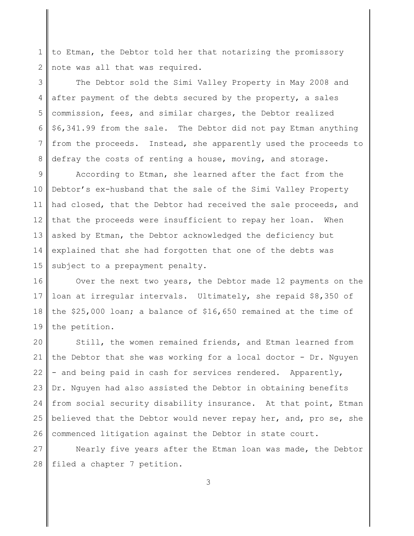1 2 to Etman, the Debtor told her that notarizing the promissory note was all that was required.

3 4 5 6 7 8 The Debtor sold the Simi Valley Property in May 2008 and after payment of the debts secured by the property, a sales commission, fees, and similar charges, the Debtor realized \$6,341.99 from the sale. The Debtor did not pay Etman anything from the proceeds. Instead, she apparently used the proceeds to defray the costs of renting a house, moving, and storage.

9 10 11 12 13 14 15 According to Etman, she learned after the fact from the Debtor's ex-husband that the sale of the Simi Valley Property had closed, that the Debtor had received the sale proceeds, and that the proceeds were insufficient to repay her loan. When asked by Etman, the Debtor acknowledged the deficiency but explained that she had forgotten that one of the debts was subject to a prepayment penalty.

16 17 18 19 Over the next two years, the Debtor made 12 payments on the loan at irregular intervals. Ultimately, she repaid \$8,350 of the \$25,000 loan; a balance of \$16,650 remained at the time of the petition.

20 21 22 23 24 25 26 Still, the women remained friends, and Etman learned from the Debtor that she was working for a local doctor - Dr. Nguyen - and being paid in cash for services rendered. Apparently, Dr. Nguyen had also assisted the Debtor in obtaining benefits from social security disability insurance. At that point, Etman believed that the Debtor would never repay her, and, pro se, she commenced litigation against the Debtor in state court.

27 28 Nearly five years after the Etman loan was made, the Debtor filed a chapter 7 petition.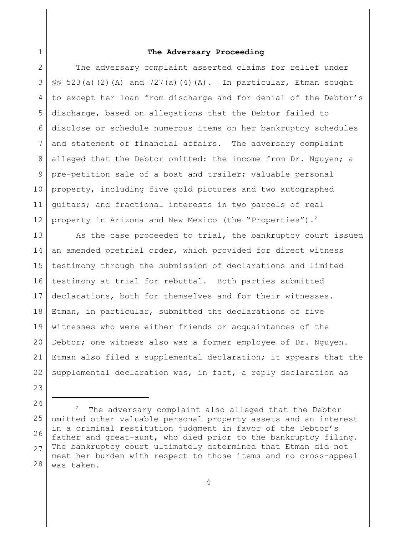# **The Adversary Proceeding**

2 3 4 5 6 7 8 9 10 11 12 The adversary complaint asserted claims for relief under  $\S$ § 523(a)(2)(A) and 727(a)(4)(A). In particular, Etman sought to except her loan from discharge and for denial of the Debtor's discharge, based on allegations that the Debtor failed to disclose or schedule numerous items on her bankruptcy schedules and statement of financial affairs. The adversary complaint alleged that the Debtor omitted: the income from Dr. Nguyen; a pre-petition sale of a boat and trailer; valuable personal property, including five gold pictures and two autographed guitars; and fractional interests in two parcels of real property in Arizona and New Mexico (the "Properties").<sup>2</sup>

13 14 15 16 17 18 19 20 21 22 As the case proceeded to trial, the bankruptcy court issued an amended pretrial order, which provided for direct witness testimony through the submission of declarations and limited testimony at trial for rebuttal. Both parties submitted declarations, both for themselves and for their witnesses. Etman, in particular, submitted the declarations of five witnesses who were either friends or acquaintances of the Debtor; one witness also was a former employee of Dr. Nguyen. Etman also filed a supplemental declaration; it appears that the supplemental declaration was, in fact, a reply declaration as

23

1

24

25 26 27 28 The adversary complaint also alleged that the Debtor omitted other valuable personal property assets and an interest in a criminal restitution judgment in favor of the Debtor's father and great-aunt, who died prior to the bankruptcy filing. The bankruptcy court ultimately determined that Etman did not meet her burden with respect to those items and no cross-appeal was taken.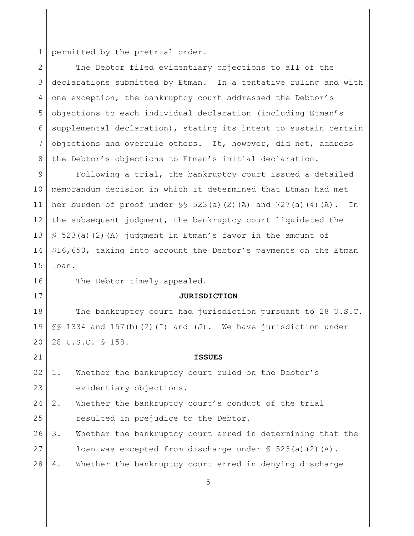1 permitted by the pretrial order.

2 3 4 5 6 7 8 The Debtor filed evidentiary objections to all of the declarations submitted by Etman. In a tentative ruling and with one exception, the bankruptcy court addressed the Debtor's objections to each individual declaration (including Etman's supplemental declaration), stating its intent to sustain certain objections and overrule others. It, however, did not, address the Debtor's objections to Etman's initial declaration.

9 10 11 12 13 14 15 Following a trial, the bankruptcy court issued a detailed memorandum decision in which it determined that Etman had met her burden of proof under  $\S$ § 523(a)(2)(A) and 727(a)(4)(A). In the subsequent judgment, the bankruptcy court liquidated the § 523(a)(2)(A) judgment in Etman's favor in the amount of \$16,650, taking into account the Debtor's payments on the Etman loan.

16

17

21

The Debtor timely appealed.

#### **JURISDICTION**

**ISSUES**

18 19 20 The bankruptcy court had jurisdiction pursuant to 28 U.S.C. §§ 1334 and 157(b)(2)(I) and (J). We have jurisdiction under 28 U.S.C. § 158.

22 23 1. Whether the bankruptcy court ruled on the Debtor's evidentiary objections.

- 24 25 2. Whether the bankruptcy court's conduct of the trial resulted in prejudice to the Debtor.
- 26 27 3. Whether the bankruptcy court erred in determining that the loan was excepted from discharge under  $\S$  523(a)(2)(A).
- 28 4. Whether the bankruptcy court erred in denying discharge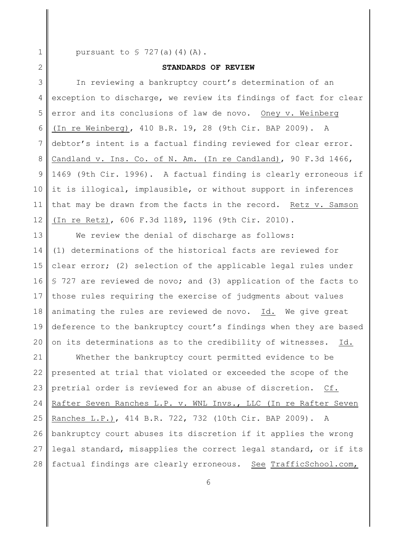1 2 pursuant to  $\sqrt{5}$  727(a)(4)(A).

# **STANDARDS OF REVIEW**

3 4 5 6 7 8 9 10 11 12 In reviewing a bankruptcy court's determination of an exception to discharge, we review its findings of fact for clear error and its conclusions of law de novo. Oney v. Weinberg (In re Weinberg), 410 B.R. 19, 28 (9th Cir. BAP 2009). A debtor's intent is a factual finding reviewed for clear error. Candland v. Ins. Co. of N. Am. (In re Candland), 90 F.3d 1466, 1469 (9th Cir. 1996). A factual finding is clearly erroneous if it is illogical, implausible, or without support in inferences that may be drawn from the facts in the record. Retz v. Samson (In re Retz), 606 F.3d 1189, 1196 (9th Cir. 2010).

13 14 15 16 17 18 19 20 We review the denial of discharge as follows: (1) determinations of the historical facts are reviewed for clear error; (2) selection of the applicable legal rules under § 727 are reviewed de novo; and (3) application of the facts to those rules requiring the exercise of judgments about values animating the rules are reviewed de novo. Id. We give great deference to the bankruptcy court's findings when they are based on its determinations as to the credibility of witnesses. Id.

21 22 23 24 25 26 27 28 Whether the bankruptcy court permitted evidence to be presented at trial that violated or exceeded the scope of the pretrial order is reviewed for an abuse of discretion. Cf. Rafter Seven Ranches L.P. v. WNL Invs., LLC (In re Rafter Seven Ranches L.P.), 414 B.R. 722, 732 (10th Cir. BAP 2009). A bankruptcy court abuses its discretion if it applies the wrong legal standard, misapplies the correct legal standard, or if its factual findings are clearly erroneous. See TrafficSchool.com,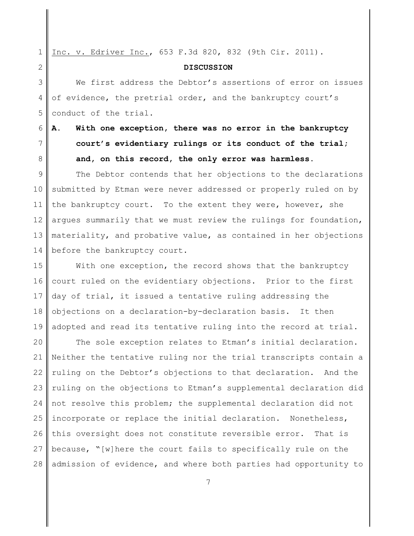1 Inc. v. Edriver Inc., 653 F.3d 820, 832 (9th Cir. 2011).

## **DISCUSSION**

3 4 5 We first address the Debtor's assertions of error on issues of evidence, the pretrial order, and the bankruptcy court's conduct of the trial.

6 7

8

2

# **A. With one exception, there was no error in the bankruptcy court's evidentiary rulings or its conduct of the trial; and, on this record, the only error was harmless.**

9 10 11 12 13 14 The Debtor contends that her objections to the declarations submitted by Etman were never addressed or properly ruled on by the bankruptcy court. To the extent they were, however, she argues summarily that we must review the rulings for foundation, materiality, and probative value, as contained in her objections before the bankruptcy court.

15 16 17 18 19 With one exception, the record shows that the bankruptcy court ruled on the evidentiary objections. Prior to the first day of trial, it issued a tentative ruling addressing the objections on a declaration-by-declaration basis. It then adopted and read its tentative ruling into the record at trial.

20 21 22 23 24 25 26 27 28 The sole exception relates to Etman's initial declaration. Neither the tentative ruling nor the trial transcripts contain a ruling on the Debtor's objections to that declaration. And the ruling on the objections to Etman's supplemental declaration did not resolve this problem; the supplemental declaration did not incorporate or replace the initial declaration. Nonetheless, this oversight does not constitute reversible error. That is because, "[w]here the court fails to specifically rule on the admission of evidence, and where both parties had opportunity to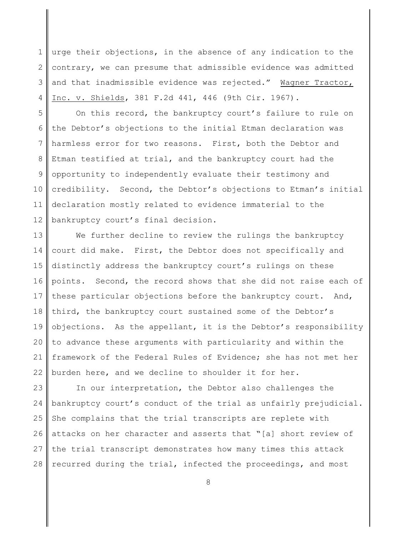1 2 3 4 urge their objections, in the absence of any indication to the contrary, we can presume that admissible evidence was admitted and that inadmissible evidence was rejected." Wagner Tractor, Inc. v. Shields, 381 F.2d 441, 446 (9th Cir. 1967).

5 6 7 8 9 10 11 12 On this record, the bankruptcy court's failure to rule on the Debtor's objections to the initial Etman declaration was harmless error for two reasons. First, both the Debtor and Etman testified at trial, and the bankruptcy court had the opportunity to independently evaluate their testimony and credibility. Second, the Debtor's objections to Etman's initial declaration mostly related to evidence immaterial to the bankruptcy court's final decision.

13 14 15 16 17 18 19 20 21 22 We further decline to review the rulings the bankruptcy court did make. First, the Debtor does not specifically and distinctly address the bankruptcy court's rulings on these points. Second, the record shows that she did not raise each of these particular objections before the bankruptcy court. And, third, the bankruptcy court sustained some of the Debtor's objections. As the appellant, it is the Debtor's responsibility to advance these arguments with particularity and within the framework of the Federal Rules of Evidence; she has not met her burden here, and we decline to shoulder it for her.

23 24 25 26 27 28 In our interpretation, the Debtor also challenges the bankruptcy court's conduct of the trial as unfairly prejudicial. She complains that the trial transcripts are replete with attacks on her character and asserts that "[a] short review of the trial transcript demonstrates how many times this attack recurred during the trial, infected the proceedings, and most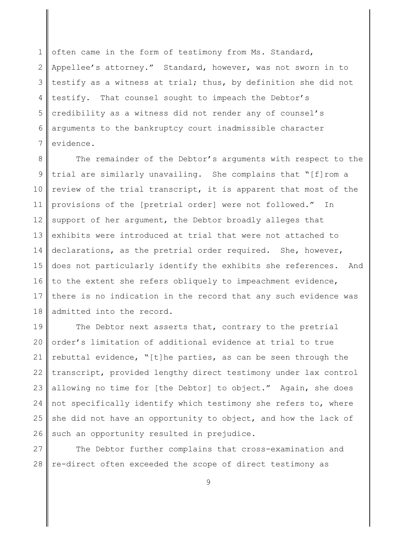1 2 3 4 5 6 7 often came in the form of testimony from Ms. Standard, Appellee's attorney." Standard, however, was not sworn in to testify as a witness at trial; thus, by definition she did not testify. That counsel sought to impeach the Debtor's credibility as a witness did not render any of counsel's arguments to the bankruptcy court inadmissible character evidence.

8 9 10 11 12 13 14 15 16 17 18 The remainder of the Debtor's arguments with respect to the trial are similarly unavailing. She complains that "[f]rom a review of the trial transcript, it is apparent that most of the provisions of the [pretrial order] were not followed." In support of her argument, the Debtor broadly alleges that exhibits were introduced at trial that were not attached to declarations, as the pretrial order required. She, however, does not particularly identify the exhibits she references. And to the extent she refers obliquely to impeachment evidence, there is no indication in the record that any such evidence was admitted into the record.

19 20 21 22 23 24 25 26 The Debtor next asserts that, contrary to the pretrial order's limitation of additional evidence at trial to true rebuttal evidence, "[t]he parties, as can be seen through the transcript, provided lengthy direct testimony under lax control allowing no time for [the Debtor] to object." Again, she does not specifically identify which testimony she refers to, where she did not have an opportunity to object, and how the lack of such an opportunity resulted in prejudice.

27 28 The Debtor further complains that cross-examination and re-direct often exceeded the scope of direct testimony as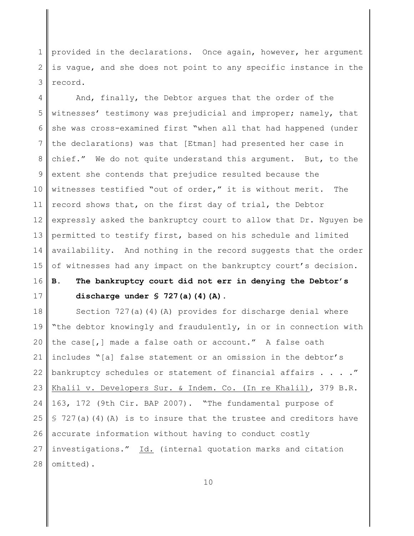1 2 3 provided in the declarations. Once again, however, her argument is vague, and she does not point to any specific instance in the record.

4 5 6 7 8 9 10 11 12 13 14 15 And, finally, the Debtor argues that the order of the witnesses' testimony was prejudicial and improper; namely, that she was cross-examined first "when all that had happened (under the declarations) was that [Etman] had presented her case in chief." We do not quite understand this argument. But, to the extent she contends that prejudice resulted because the witnesses testified "out of order," it is without merit. The record shows that, on the first day of trial, the Debtor expressly asked the bankruptcy court to allow that Dr. Nguyen be permitted to testify first, based on his schedule and limited availability. And nothing in the record suggests that the order of witnesses had any impact on the bankruptcy court's decision.

#### 16 17 **B. The bankruptcy court did not err in denying the Debtor's discharge under § 727(a)(4)(A).**

18 19 20 21 22 23 24 25 26 27 28 Section 727(a)(4)(A) provides for discharge denial where "the debtor knowingly and fraudulently, in or in connection with the case[,] made a false oath or account." A false oath includes "[a] false statement or an omission in the debtor's bankruptcy schedules or statement of financial affairs . . . . " Khalil v. Developers Sur. & Indem. Co. (In re Khalil), 379 B.R. 163, 172 (9th Cir. BAP 2007). "The fundamental purpose of  $$ 727(a)(4)(A)$  is to insure that the trustee and creditors have accurate information without having to conduct costly investigations." Id. (internal quotation marks and citation omitted).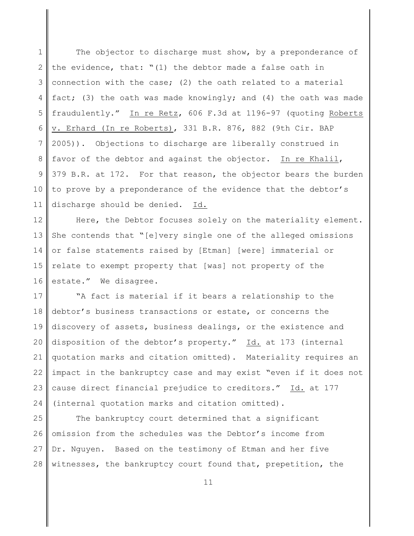1 2 3 4 5 6 7 8 9 10 11 The objector to discharge must show, by a preponderance of the evidence, that: "(1) the debtor made a false oath in connection with the case; (2) the oath related to a material fact; (3) the oath was made knowingly; and (4) the oath was made fraudulently." In re Retz, 606 F.3d at 1196-97 (quoting Roberts v. Erhard (In re Roberts), 331 B.R. 876, 882 (9th Cir. BAP 2005)). Objections to discharge are liberally construed in favor of the debtor and against the objector. In re Khalil, 379 B.R. at 172. For that reason, the objector bears the burden to prove by a preponderance of the evidence that the debtor's discharge should be denied. Id.

12 13 14 15 16 Here, the Debtor focuses solely on the materiality element. She contends that "[e]very single one of the alleged omissions or false statements raised by [Etman] [were] immaterial or relate to exempt property that [was] not property of the estate." We disagree.

17 18 19 20 21 22 23 24 "A fact is material if it bears a relationship to the debtor's business transactions or estate, or concerns the discovery of assets, business dealings, or the existence and disposition of the debtor's property." Id. at 173 (internal quotation marks and citation omitted). Materiality requires an impact in the bankruptcy case and may exist "even if it does not cause direct financial prejudice to creditors." Id. at 177 (internal quotation marks and citation omitted).

25 26 27 28 The bankruptcy court determined that a significant omission from the schedules was the Debtor's income from Dr. Nguyen. Based on the testimony of Etman and her five witnesses, the bankruptcy court found that, prepetition, the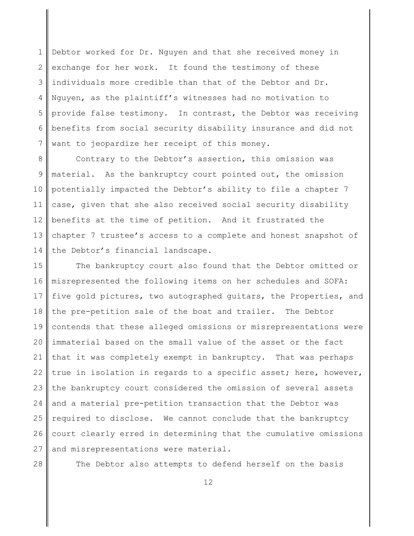1 2 3 4 5 6 7 Debtor worked for Dr. Nguyen and that she received money in exchange for her work. It found the testimony of these individuals more credible than that of the Debtor and Dr. Nguyen, as the plaintiff's witnesses had no motivation to provide false testimony. In contrast, the Debtor was receiving benefits from social security disability insurance and did not want to jeopardize her receipt of this money.

8 9 10 11 12 13 14 Contrary to the Debtor's assertion, this omission was material. As the bankruptcy court pointed out, the omission potentially impacted the Debtor's ability to file a chapter 7 case, given that she also received social security disability benefits at the time of petition. And it frustrated the chapter 7 trustee's access to a complete and honest snapshot of the Debtor's financial landscape.

15 16 17 18 19 20 21 22 23 24 25 26 27 The bankruptcy court also found that the Debtor omitted or misrepresented the following items on her schedules and SOFA: five gold pictures, two autographed guitars, the Properties, and the pre-petition sale of the boat and trailer. The Debtor contends that these alleged omissions or misrepresentations were immaterial based on the small value of the asset or the fact that it was completely exempt in bankruptcy. That was perhaps true in isolation in regards to a specific asset; here, however, the bankruptcy court considered the omission of several assets and a material pre-petition transaction that the Debtor was required to disclose. We cannot conclude that the bankruptcy court clearly erred in determining that the cumulative omissions and misrepresentations were material.

28

The Debtor also attempts to defend herself on the basis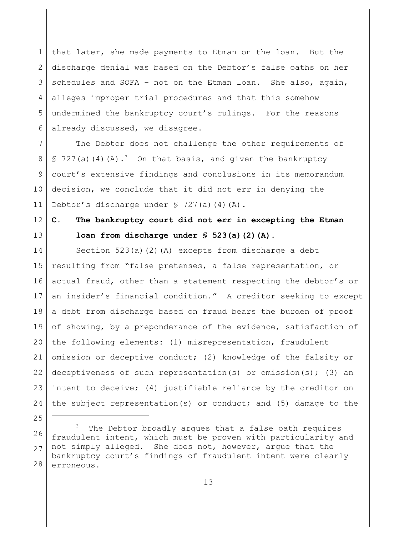1 2 3 4 5 6 that later, she made payments to Etman on the loan. But the discharge denial was based on the Debtor's false oaths on her schedules and SOFA – not on the Etman loan. She also, again, alleges improper trial procedures and that this somehow undermined the bankruptcy court's rulings. For the reasons already discussed, we disagree.

7 8 9 10 11 The Debtor does not challenge the other requirements of § 727(a)(4)(A).<sup>3</sup> On that basis, and given the bankruptcy court's extensive findings and conclusions in its memorandum decision, we conclude that it did not err in denying the Debtor's discharge under  $\sqrt{5}$  727(a)(4)(A).

#### 12 13 **C. The bankruptcy court did not err in excepting the Etman loan from discharge under § 523(a)(2)(A).**

14 15 16 17 18 19 20 21 22 23 24 Section 523(a)(2)(A) excepts from discharge a debt resulting from "false pretenses, a false representation, or actual fraud, other than a statement respecting the debtor's or an insider's financial condition." A creditor seeking to except a debt from discharge based on fraud bears the burden of proof of showing, by a preponderance of the evidence, satisfaction of the following elements: (1) misrepresentation, fraudulent omission or deceptive conduct; (2) knowledge of the falsity or deceptiveness of such representation(s) or omission(s); (3) an intent to deceive; (4) justifiable reliance by the creditor on the subject representation(s) or conduct; and (5) damage to the

<sup>26</sup> 27 28 The Debtor broadly arques that a false oath requires fraudulent intent, which must be proven with particularity and not simply alleged. She does not, however, argue that the bankruptcy court's findings of fraudulent intent were clearly erroneous.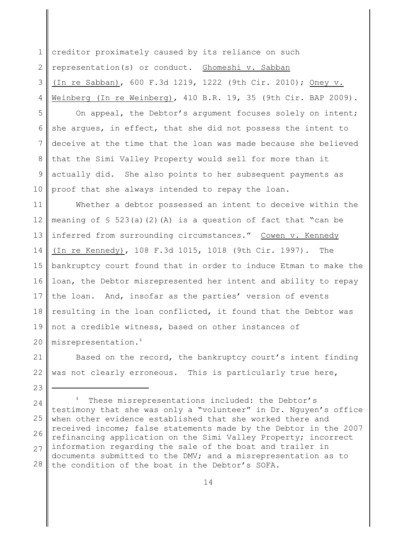1 2 3 4 creditor proximately caused by its reliance on such representation(s) or conduct. Ghomeshi v. Sabban (In re Sabban), 600 F.3d 1219, 1222 (9th Cir. 2010); Oney v. Weinberg (In re Weinberg), 410 B.R. 19, 35 (9th Cir. BAP 2009).

5 6 7 8 9 10 On appeal, the Debtor's argument focuses solely on intent; she argues, in effect, that she did not possess the intent to deceive at the time that the loan was made because she believed that the Simi Valley Property would sell for more than it actually did. She also points to her subsequent payments as proof that she always intended to repay the loan.

11 12 13 14 15 16 17 18 19 20 Whether a debtor possessed an intent to deceive within the meaning of  $\frac{1}{5}$  523(a)(2)(A) is a question of fact that "can be inferred from surrounding circumstances." Cowen v. Kennedy (In re Kennedy), 108 F.3d 1015, 1018 (9th Cir. 1997). The bankruptcy court found that in order to induce Etman to make the loan, the Debtor misrepresented her intent and ability to repay the loan. And, insofar as the parties' version of events resulting in the loan conflicted, it found that the Debtor was not a credible witness, based on other instances of misrepresentation.<sup>4</sup>

21 22 Based on the record, the bankruptcy court's intent finding was not clearly erroneous. This is particularly true here,

23

24 25 26 27 28 These misrepresentations included: the Debtor's testimony that she was only a "volunteer" in Dr. Nguyen's office when other evidence established that she worked there and received income; false statements made by the Debtor in the 2007 refinancing application on the Simi Valley Property; incorrect information regarding the sale of the boat and trailer in documents submitted to the DMV; and a misrepresentation as to the condition of the boat in the Debtor's SOFA.